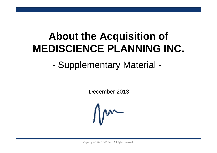# **About the Ac quisition of MEDISCIENCE PLANNING INC.**

-Supplementary Material -

December 2013



Copyright © 2013 M3, Inc. All rights reserved.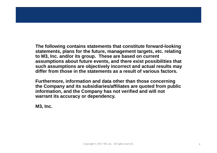**The following contains statements that constitute forward-looking statements, plans for the future, management targets, etc. relating to M3, Inc. and/or its group. These are based on current assumptions about future events, and there exist possibilities that such assumptions are objectively incorrect and actual results may differ from those in the statements as a result of various factors.**

**Furthermore, information and data other than those concerning the Company and its subsidiaries/affiliates are quoted from public information, and the Company has not verified and will not warrant its accuracy or dependency.**

**M3, Inc.**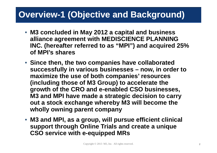### **Overview-1 (Objective and Background)**

- **M3 concluded in May 2012 a capital and business alliance a greement with MEDISCIENCE PLANNING INC. (hereafter referred to as "MPI") and acquired 25% of MPI's shares**
- **Since then, the two companies have collaborated successfully in various businesses – now, in order to maximize the use of both companies of companies' resources (including those of M3 Group) to accelerate the growth of the CRO and e-enabled CSO businesses,**  M3 and MPI have made a strategic decision to carry **out a stock exchange whereby M3 will become the wholly owning parent company**
- **M3 and MPI, as a group, will pursue efficient clinical support throu gh Online Trials and create a uni que pp g q CSO service with e-equipped MRs**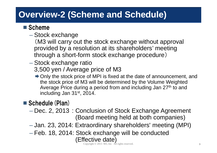### **Overview-2 (Scheme and Schedule)**

#### ■ Scheme

- $\mathcal{L}_{\mathcal{A}}$  , the state of the state of the state of the state of the state of the state of the state of the state of the state of the state of the state of the state of the state of the state of the state of the state – Stock exchange
	- (M3 will carry out the stock exchange without approval provided by a resolution at its shareholders' meeting through a short-form stock exchange procedure )
- $\mathcal{L}_{\mathcal{A}}$  , the state of the state of the state of the state of the state of the state of the state of the state of the state of the state of the state of the state of the state of the state of the state of the state – Stock exchange ratio 3,500 yen / Average price of M3
	- $\rightarrow$  Only the stock price of MPI is fixed at the date of announcement, and the stock price of M3 will be determined by the Volume Weighted Average Price during a period from and including Jan 27<sup>th</sup> to and including Jan  $31<sup>st</sup>$ , 2014.

#### $\blacksquare$  Schedule (Plan)

- Dec. 2, 2013:Conclusion of Stock Exchange Agreement (Board meeting held at both companies)
- Jan. 23, 2014: Extraordinary shareholders' meeting (MPI)
- $\mathcal{L}_{\mathcal{A}}$  , the state of the state of the state of the state of the state of the state of the state of the state of the state of the state of the state of the state of the state of the state of the state of the state Feb. 18, 2014: Stock exchange will be conducted (Effective date)

 $\odot$  2013 M3, Inc. All rights reserved.  $\ddot{\text{3}}$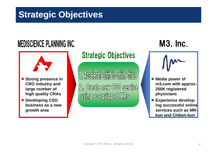### **Strategic Objectives**

# **MEDISCIENCE PLANNING INC.**



- Strong presence in **CRO industry and large number of high quality CRAs**
- **Developing CSO business as a new growth area**

### **Strategic Objectives**

1. Accelerate shift to online trials 2. Create new CSO service **using e-equipped MRs** 

# **M3, Inc.**



- Media power of **m3.com with approx. 250K registered**
- $\mathcal{L}_{\mathcal{A}}$  **Experience developing successful online services such as MR MRkun and Chiken-kun**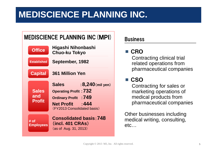### **MEDISCIENCE PLANNING INC.**

|                                      | <b>MEDISCIENCE PLANNING INC (MPI)</b>                                                                                                                                  | <b>Business</b>                                                                                                              |  |
|--------------------------------------|------------------------------------------------------------------------------------------------------------------------------------------------------------------------|------------------------------------------------------------------------------------------------------------------------------|--|
| <b>Office</b>                        | Higashi Nihonbashi<br><b>Chuo-ku Tokyo</b>                                                                                                                             | <b>CRO</b>                                                                                                                   |  |
| <b>Established</b>                   | September, 1982                                                                                                                                                        | Contracting clinical trial<br>related operations from<br>pharmaceutical compani                                              |  |
| <b>Capital</b>                       | <b>361 Million Yen</b>                                                                                                                                                 |                                                                                                                              |  |
| <b>Sales</b><br>and<br><b>Profit</b> | : $8,240$ (mil yen)<br><b>Sales</b><br><b>Operating Profit: 732</b><br><b>Ordinary Profit</b> : 749<br>$\cdot$ 444<br><b>Net Profit</b><br>(FY2013 Consolidated basis) | $\blacksquare$ CSO<br>Contracting for sales or<br>marketing operations of<br>medical products from<br>pharmaceutical compani |  |
| # of<br><b>Employees</b>             | <b>Consolidated basis: 748</b><br>(incl. 401 CRAs)<br>(as of Aug. 31, 2013)                                                                                            | Other businesses including<br>medical writing, consulting,<br>$etc.$                                                         |  |

#### **Business**

#### ■ CRO

 related operations from pharmaceutical companies

#### ■ CSO

Contracting for sales or medical products from pharmaceutical companies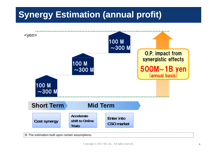# **Synergy Estimation (annual profit)**

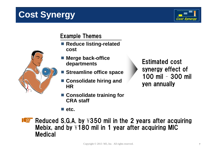# **Cost Synergy**



#### Example Themes

- Reduce listing-related **cost**
- Merge back-office<br> **back-office**<br> **back back back back back back back back back back back back back back b departments**
	-
- Consolidate hiring and **Figure 11 Your Seam** yen annually
- **C lid t t i i f Consolidate training for CRA staff**

**etc.**

synergy effect of 100 mil – 300 mil **Streamline office space**<br>100 mil - 30

**Reduced S.G.A. by**  $\frac{1}{2}$  **350 mil in the 2 years after acquiring** Mebix, and by  $\verb|4180|$  mil in 1 year after acquiring MIC Medical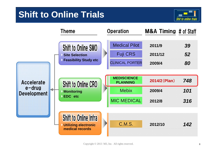### **Shift to Online Trials**



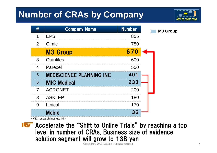# **Number of CRAs by Company**



|                | <b>Company Name</b>             | <b>Number</b> | <b>M3 Group</b> |
|----------------|---------------------------------|---------------|-----------------|
|                | <b>EPS</b>                      | 855           |                 |
| $\overline{2}$ | Cimic                           | 780           |                 |
|                | <b>M3 Group</b>                 | 670           |                 |
| 3              | Quintiles                       | 600           |                 |
| 4              | Parexel                         | 550           |                 |
| 5              | <b>MEDISCIENCE PLANNING INC</b> | 401           |                 |
| 6              | <b>MIC Medical</b>              | 233           |                 |
|                | <b>ACRONET</b>                  | 200           |                 |
| 8              | <b>ASKLEP</b>                   | 180           |                 |
| 9              | Linical                         | 170           |                 |
|                | <b>Mebix</b>                    | <b>36</b>     |                 |

<MIC research institute ltd>



Accelerate the "Shift to Online Trials" by reaching a top level in number of CRAs. Business size of evidence solution segment will grow to 13B yen

Copyright © 2013 M3, Inc. All rights reserved. <sup>9</sup>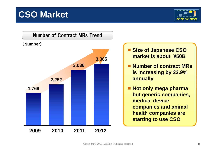### **CSO Market**





- Size of Japanese CSO **market is about ¥50B**
- Number of contract MRs **is increasing by 23.9%**
- $\Box$  **Not only mega pharma but generic companies companies, medical device companies and animal h lh i ea th companies are starting to use CSO**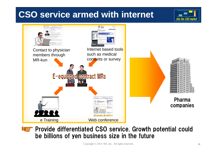### **CSO service armed with internet**



#### Provide differentiated CSO service. Growth potential could be billions of yen business size in the future

Into the CSO market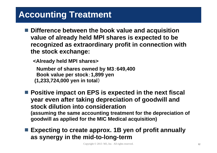### **Accounting Treatment**

- Difference between the book value and acquisition **value of already held MPI shares is expected to be recognized as extraordinary profit in connection with the stock exchange:**
	- **<Already held MPI shares>**

**Number of shares owned by M3**:**649,400 Boo <sup>a</sup> ue pe stoc k v alue per k**:**1,899 ye n (1,233,724,000 yen in total** )

- Positive impact on EPS is expected in the next fiscal **year even after taking depreciation of goodwill and stock dilution into consideration( i h i f hd ii f (assuming t he same accounting treatment for t he depreciation o goodwill as applied for the MIC Medical acquisition)**
- **Expecting to create approx. 1B yen of profit annually as synergy in the mid-to-long-term**